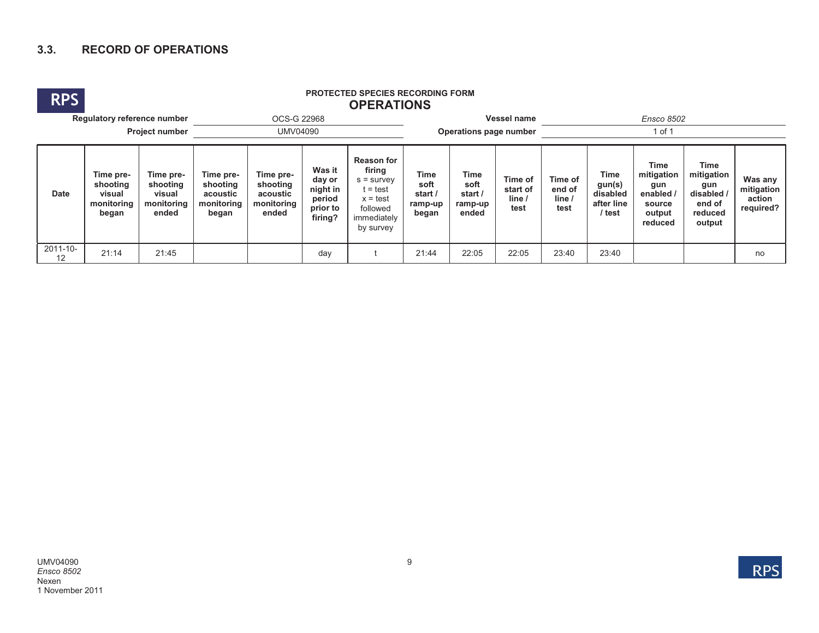## **3.3. RECORD OF OPERATIONS**



## **RPS PROTECTED SPECIES RECORDING FORM OPERATIONS**

|                     | Regulatory reference number                            |                                                        | OCS-G 22968                                              |                                                          |                                                               |                                                                                                                 | Vessel name                                 |                                                    |                                     | <b>Ensco 8502</b>                   |                                                    |                                                                              |                                                                               |                                              |  |
|---------------------|--------------------------------------------------------|--------------------------------------------------------|----------------------------------------------------------|----------------------------------------------------------|---------------------------------------------------------------|-----------------------------------------------------------------------------------------------------------------|---------------------------------------------|----------------------------------------------------|-------------------------------------|-------------------------------------|----------------------------------------------------|------------------------------------------------------------------------------|-------------------------------------------------------------------------------|----------------------------------------------|--|
| Project number      |                                                        |                                                        |                                                          | Operations page number                                   |                                                               |                                                                                                                 | of 1                                        |                                                    |                                     |                                     |                                                    |                                                                              |                                                                               |                                              |  |
| <b>Date</b>         | Time pre-<br>shooting<br>visual<br>monitoring<br>began | Time pre-<br>shooting<br>visual<br>monitoring<br>ended | Time pre-<br>shooting<br>acoustic<br>monitoring<br>began | Time pre-<br>shooting<br>acoustic<br>monitoring<br>ended | Was it<br>day or<br>night in<br>period<br>prior to<br>firing? | <b>Reason for</b><br>firing<br>$s =$ survey<br>$t = test$<br>$x = test$<br>followed<br>immediately<br>by survey | Time<br>soft<br>start /<br>ramp-up<br>began | <b>Time</b><br>soft<br>start /<br>ramp-up<br>ended | Time of<br>start of<br>line<br>test | Time of<br>end of<br>line /<br>test | Time<br>gun(s)<br>disabled<br>after line<br>/ test | <b>Time</b><br>mitigation<br>gun<br>enabled /<br>source<br>output<br>reduced | <b>Time</b><br>mitigation<br>gun<br>disabled /<br>end of<br>reduced<br>output | Was any<br>mitigation<br>action<br>required? |  |
| $2011 - 10 -$<br>12 | 21:14                                                  | 21:45                                                  |                                                          |                                                          | day                                                           |                                                                                                                 | 21:44                                       | 22:05                                              | 22:05                               | 23:40                               | 23:40                                              |                                                                              |                                                                               | no                                           |  |